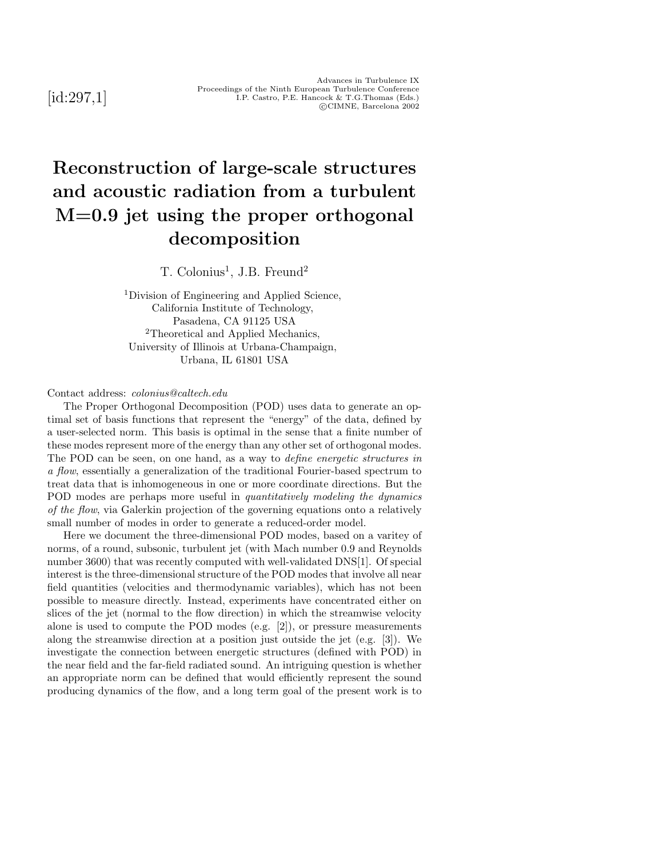[id:297,1]

# **Reconstruction of large-scale structures and acoustic radiation from a turbulent M=0.9 jet using the proper orthogonal decomposition**

 $T.$  Colonius<sup>1</sup>, J.B. Freund<sup>2</sup>

<sup>1</sup>Division of Engineering and Applied Science, California Institute of Technology, Pasadena, CA 91125 USA <sup>2</sup>Theoretical and Applied Mechanics, University of Illinois at Urbana-Champaign, Urbana, IL 61801 USA

#### Contact address: *colonius@caltech.edu*

The Proper Orthogonal Decomposition (POD) uses data to generate an optimal set of basis functions that represent the "energy" of the data, defined by a user-selected norm. This basis is optimal in the sense that a finite number of these modes represent more of the energy than any other set of orthogonal modes. The POD can be seen, on one hand, as a way to *define energetic structures in a flow*, essentially a generalization of the traditional Fourier-based spectrum to treat data that is inhomogeneous in one or more coordinate directions. But the POD modes are perhaps more useful in *quantitatively modeling the dynamics of the flow*, via Galerkin projection of the governing equations onto a relatively small number of modes in order to generate a reduced-order model.

Here we document the three-dimensional POD modes, based on a varitey of norms, of a round, subsonic, turbulent jet (with Mach number 0.9 and Reynolds number 3600) that was recently computed with well-validated DNS[1]. Of special interest is the three-dimensional structure of the POD modes that involve all near field quantities (velocities and thermodynamic variables), which has not been possible to measure directly. Instead, experiments have concentrated either on slices of the jet (normal to the flow direction) in which the streamwise velocity alone is used to compute the POD modes (e.g. [2]), or pressure measurements along the streamwise direction at a position just outside the jet (e.g. [3]). We investigate the connection between energetic structures (defined with POD) in the near field and the far-field radiated sound. An intriguing question is whether an appropriate norm can be defined that would efficiently represent the sound producing dynamics of the flow, and a long term goal of the present work is to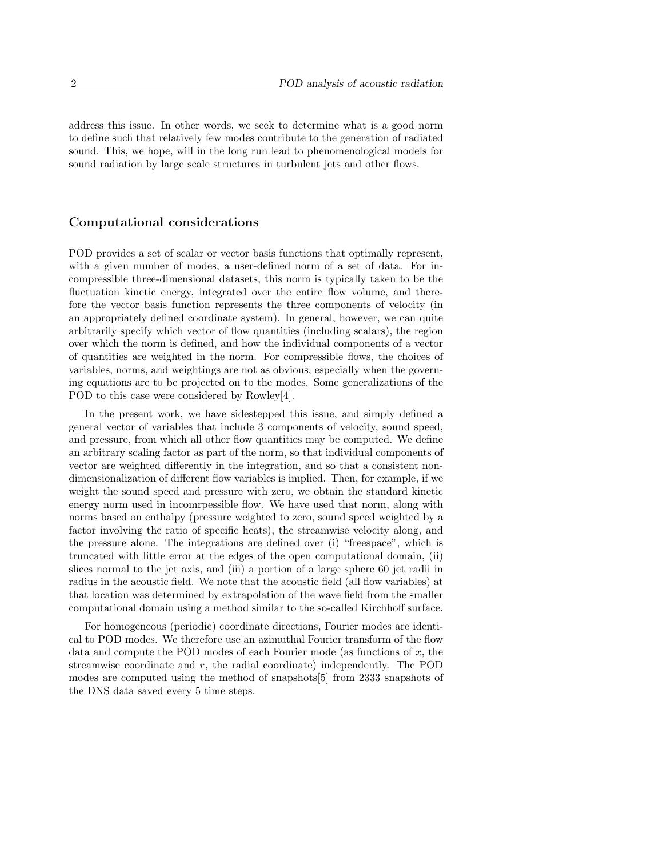address this issue. In other words, we seek to determine what is a good norm to define such that relatively few modes contribute to the generation of radiated sound. This, we hope, will in the long run lead to phenomenological models for sound radiation by large scale structures in turbulent jets and other flows.

#### **Computational considerations**

POD provides a set of scalar or vector basis functions that optimally represent, with a given number of modes, a user-defined norm of a set of data. For incompressible three-dimensional datasets, this norm is typically taken to be the fluctuation kinetic energy, integrated over the entire flow volume, and therefore the vector basis function represents the three components of velocity (in an appropriately defined coordinate system). In general, however, we can quite arbitrarily specify which vector of flow quantities (including scalars), the region over which the norm is defined, and how the individual components of a vector of quantities are weighted in the norm. For compressible flows, the choices of variables, norms, and weightings are not as obvious, especially when the governing equations are to be projected on to the modes. Some generalizations of the POD to this case were considered by Rowley[4].

In the present work, we have sidestepped this issue, and simply defined a general vector of variables that include 3 components of velocity, sound speed, and pressure, from which all other flow quantities may be computed. We define an arbitrary scaling factor as part of the norm, so that individual components of vector are weighted differently in the integration, and so that a consistent nondimensionalization of different flow variables is implied. Then, for example, if we weight the sound speed and pressure with zero, we obtain the standard kinetic energy norm used in incomrpessible flow. We have used that norm, along with norms based on enthalpy (pressure weighted to zero, sound speed weighted by a factor involving the ratio of specific heats), the streamwise velocity along, and the pressure alone. The integrations are defined over (i) "freespace", which is truncated with little error at the edges of the open computational domain, (ii) slices normal to the jet axis, and (iii) a portion of a large sphere 60 jet radii in radius in the acoustic field. We note that the acoustic field (all flow variables) at that location was determined by extrapolation of the wave field from the smaller computational domain using a method similar to the so-called Kirchhoff surface.

For homogeneous (periodic) coordinate directions, Fourier modes are identical to POD modes. We therefore use an azimuthal Fourier transform of the flow data and compute the POD modes of each Fourier mode (as functions of *x*, the streamwise coordinate and *r*, the radial coordinate) independently. The POD modes are computed using the method of snapshots[5] from 2333 snapshots of the DNS data saved every 5 time steps.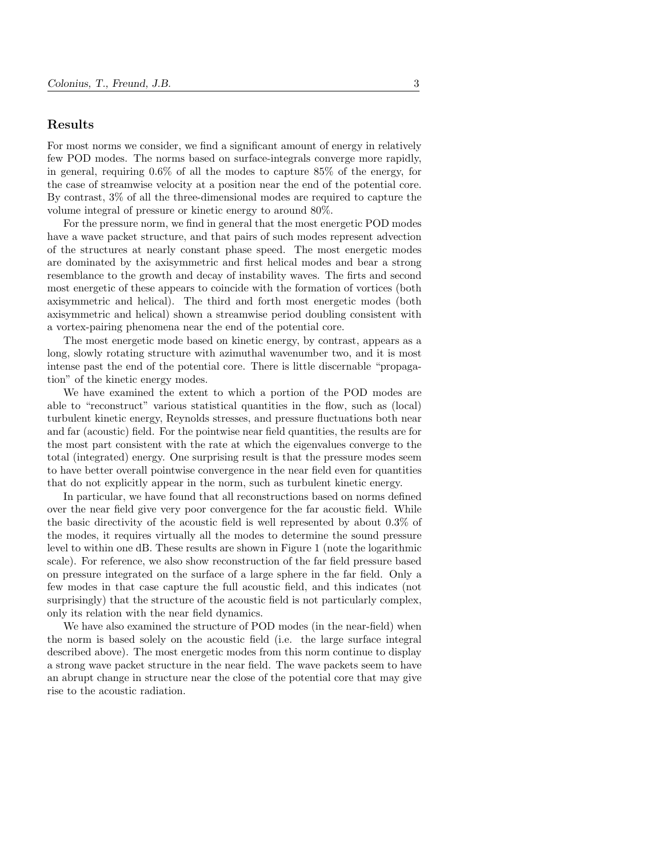## **Results**

For most norms we consider, we find a significant amount of energy in relatively few POD modes. The norms based on surface-integrals converge more rapidly, in general, requiring 0.6% of all the modes to capture 85% of the energy, for the case of streamwise velocity at a position near the end of the potential core. By contrast, 3% of all the three-dimensional modes are required to capture the volume integral of pressure or kinetic energy to around 80%.

For the pressure norm, we find in general that the most energetic POD modes have a wave packet structure, and that pairs of such modes represent advection of the structures at nearly constant phase speed. The most energetic modes are dominated by the axisymmetric and first helical modes and bear a strong resemblance to the growth and decay of instability waves. The firts and second most energetic of these appears to coincide with the formation of vortices (both axisymmetric and helical). The third and forth most energetic modes (both axisymmetric and helical) shown a streamwise period doubling consistent with a vortex-pairing phenomena near the end of the potential core.

The most energetic mode based on kinetic energy, by contrast, appears as a long, slowly rotating structure with azimuthal wavenumber two, and it is most intense past the end of the potential core. There is little discernable "propagation" of the kinetic energy modes.

We have examined the extent to which a portion of the POD modes are able to "reconstruct" various statistical quantities in the flow, such as (local) turbulent kinetic energy, Reynolds stresses, and pressure fluctuations both near and far (acoustic) field. For the pointwise near field quantities, the results are for the most part consistent with the rate at which the eigenvalues converge to the total (integrated) energy. One surprising result is that the pressure modes seem to have better overall pointwise convergence in the near field even for quantities that do not explicitly appear in the norm, such as turbulent kinetic energy.

In particular, we have found that all reconstructions based on norms defined over the near field give very poor convergence for the far acoustic field. While the basic directivity of the acoustic field is well represented by about 0.3% of the modes, it requires virtually all the modes to determine the sound pressure level to within one dB. These results are shown in Figure 1 (note the logarithmic scale). For reference, we also show reconstruction of the far field pressure based on pressure integrated on the surface of a large sphere in the far field. Only a few modes in that case capture the full acoustic field, and this indicates (not surprisingly) that the structure of the acoustic field is not particularly complex, only its relation with the near field dynamics.

We have also examined the structure of POD modes (in the near-field) when the norm is based solely on the acoustic field (i.e. the large surface integral described above). The most energetic modes from this norm continue to display a strong wave packet structure in the near field. The wave packets seem to have an abrupt change in structure near the close of the potential core that may give rise to the acoustic radiation.